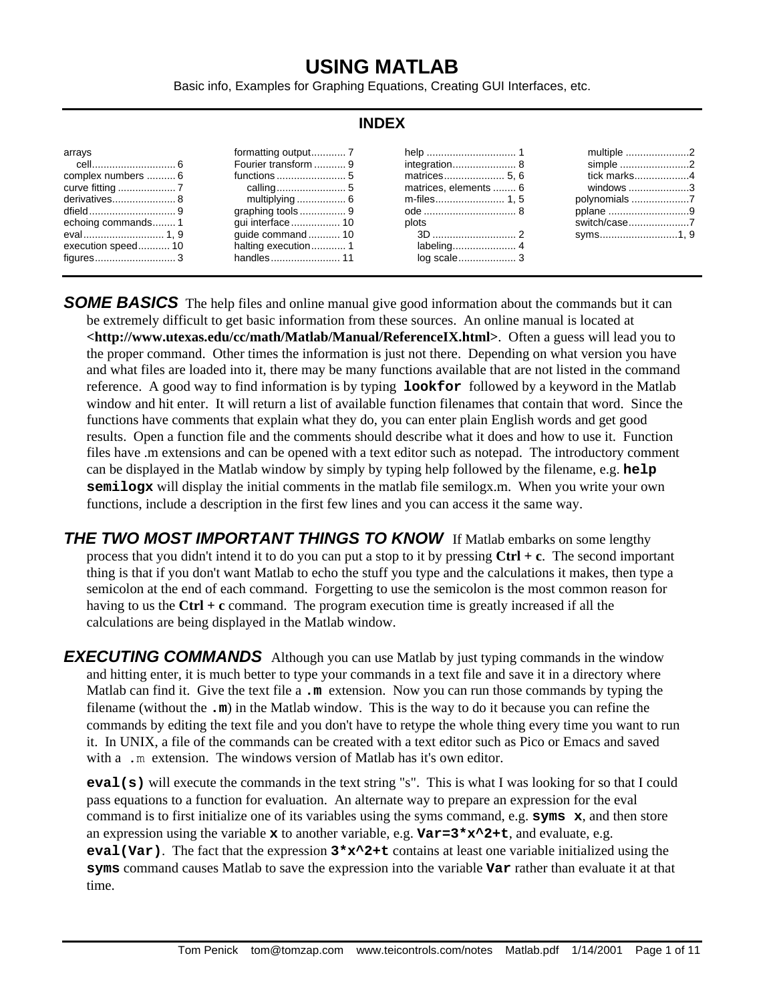# **USING MATLAB**

Basic info, Examples for Graphing Equations, Creating GUI Interfaces, etc.

#### **INDEX** arrays cell............................. 6 complex numbers .......... 6 curve fitting .................... 7 derivatives...................... 8 dfield.............................. 9 echoing commands........ 1 eval............................ 1, 9 execution speed........... 10 figures............................ 3 formatting output............ 7 Fourier transform ........... 9 functions ........................ 5 calling........................ 5 multiplying ................. 6 graphing tools ................ 9 gui interface................. 10 guide command ........... 10 halting execution............ 1 handles........................ 11 help ............................... 1 integration...................... 8 matrices..................... 5, 6 matrices, elements ........ 6 m-files........................ 1, 5 ode ................................ 8 plots 3D ............................. 2 labeling...................... 4 log scale.................... 3 multiple ......................2 simple ........................2 tick marks...................4 windows .....................3 polynomials ....................7 pplane ...............................9 switch/case.....................7 syms...........................1, 9

**SOME BASICS** The help files and online manual give good information about the commands but it can be extremely difficult to get basic information from these sources. An online manual is located at **<http://www.utexas.edu/cc/math/Matlab/Manual/ReferenceIX.html>**. Often a guess will lead you to the proper command. Other times the information is just not there. Depending on what version you have and what files are loaded into it, there may be many functions available that are not listed in the command reference. A good way to find information is by typing **lookfor** followed by a keyword in the Matlab window and hit enter. It will return a list of available function filenames that contain that word. Since the functions have comments that explain what they do, you can enter plain English words and get good results. Open a function file and the comments should describe what it does and how to use it. Function files have .m extensions and can be opened with a text editor such as notepad. The introductory comment can be displayed in the Matlab window by simply by typing help followed by the filename, e.g. **help semilogx** will display the initial comments in the matlab file semilogx.m. When you write your own functions, include a description in the first few lines and you can access it the same way.

**THE TWO MOST IMPORTANT THINGS TO KNOW** If Matlab embarks on some lengthy process that you didn't intend it to do you can put a stop to it by pressing **Ctrl + c**. The second important thing is that if you don't want Matlab to echo the stuff you type and the calculations it makes, then type a semicolon at the end of each command. Forgetting to use the semicolon is the most common reason for having to us the **Ctrl + c** command. The program execution time is greatly increased if all the calculations are being displayed in the Matlab window.

**EXECUTING COMMANDS** Although you can use Matlab by just typing commands in the window and hitting enter, it is much better to type your commands in a text file and save it in a directory where Matlab can find it. Give the text file a **.m** extension. Now you can run those commands by typing the filename (without the **.m**) in the Matlab window. This is the way to do it because you can refine the commands by editing the text file and you don't have to retype the whole thing every time you want to run it. In UNIX, a file of the commands can be created with a text editor such as Pico or Emacs and saved with a .m extension. The windows version of Matlab has it's own editor.

**eval(s)** will execute the commands in the text string "s". This is what I was looking for so that I could pass equations to a function for evaluation. An alternate way to prepare an expression for the eval command is to first initialize one of its variables using the syms command, e.g. **syms x**, and then store an expression using the variable **x** to another variable, e.g. **Var=3\*x^2+t**, and evaluate, e.g. **eval(Var)**. The fact that the expression **3\*x^2+t** contains at least one variable initialized using the **syms** command causes Matlab to save the expression into the variable **Var** rather than evaluate it at that time.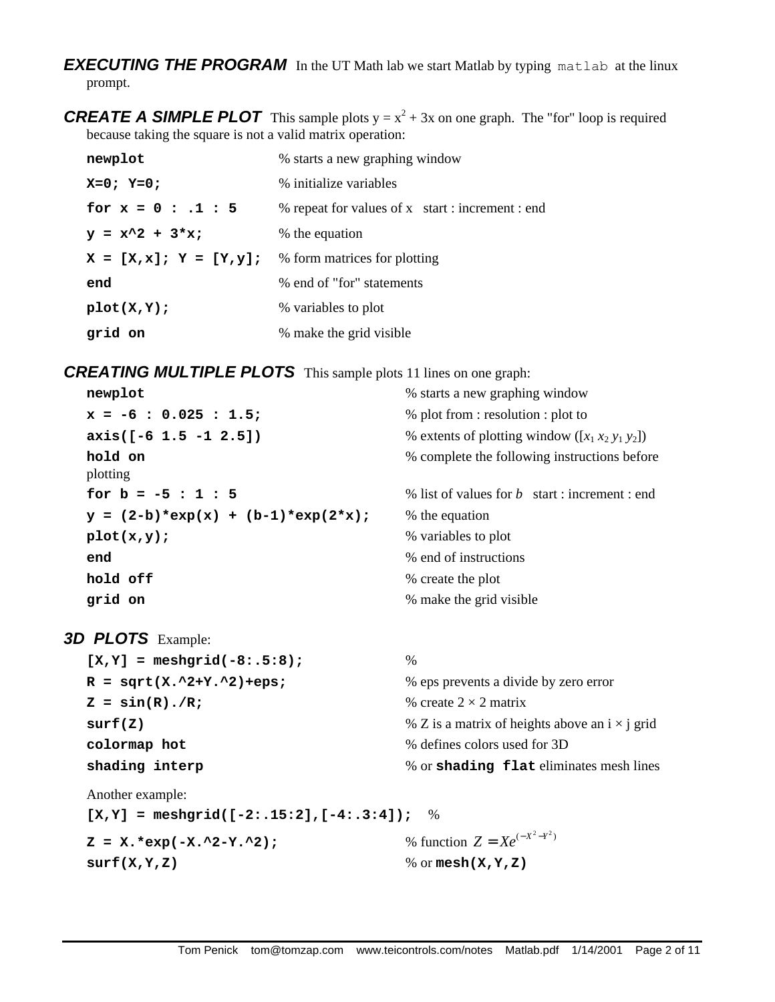*EXECUTING THE PROGRAM* In the UT Math lab we start Matlab by typing matlab at the linux prompt.

**CREATE A SIMPLE PLOT** This sample plots  $y = x^2 + 3x$  on one graph. The "for" loop is required because taking the square is not a valid matrix operation:

| newplot                   | % starts a new graphing window                   |
|---------------------------|--------------------------------------------------|
| $X=0; Y=0;$               | % initialize variables                           |
| for $x = 0 : .1 : 5$      | % repeat for values of x start : increment : end |
| $y = x^2 + 3*x;$          | % the equation                                   |
| $X = [X, x]; Y = [Y, Y];$ | % form matrices for plotting                     |
| end                       | % end of "for" statements                        |
| plot(X,Y);                | % variables to plot                              |
| grid on                   | % make the grid visible                          |

*CREATING MULTIPLE PLOTS* This sample plots 11 lines on one graph:

| newplot                              | % starts a new graphing window                       |
|--------------------------------------|------------------------------------------------------|
| $x = -6$ : 0.025 : 1.5;              | % plot from : resolution : plot to                   |
| $axis([-6 1.5 -1 2.5])$              | % extents of plotting window ( $[x_1 x_2 y_1 y_2]$ ) |
| hold on<br>plotting                  | % complete the following instructions before         |
| for $b = -5 : 1 : 5$                 | % list of values for b start : increment : end       |
| $y = (2-b)*exp(x) + (b-1)*exp(2*x);$ | % the equation                                       |
| plot(x,y);                           | % variables to plot                                  |
| end                                  | % end of instructions                                |
| hold off                             | % create the plot                                    |
| grid on                              | % make the grid visible                              |

3D PLOTS Example:

| $[X, Y] = meshgrid(-8: .5:8);$ | $\frac{0}{0}$                                         |
|--------------------------------|-------------------------------------------------------|
| $R = sqrt(X.^2+Y.^2)+eps;$     | % eps prevents a divide by zero error                 |
| $Z = \sin(R) \cdot /R$ ;       | % create $2 \times 2$ matrix                          |
| surf(Z)                        | % Z is a matrix of heights above an $i \times j$ grid |
| colormap hot                   | % defines colors used for 3D                          |
| shading interp                 | % or shading flat eliminates mesh lines               |
|                                |                                                       |

Another example:

**[X,Y] = meshgrid([-2:.15:2],[-4:.3:4]);** %

 $Z = X.*exp(-X.^2-Y.^2)$ ;

 $Z = X e^{(-X^2 - Y^2)}$ **surf(X,Y,Z)** % or **mesh(X,Y,Z)**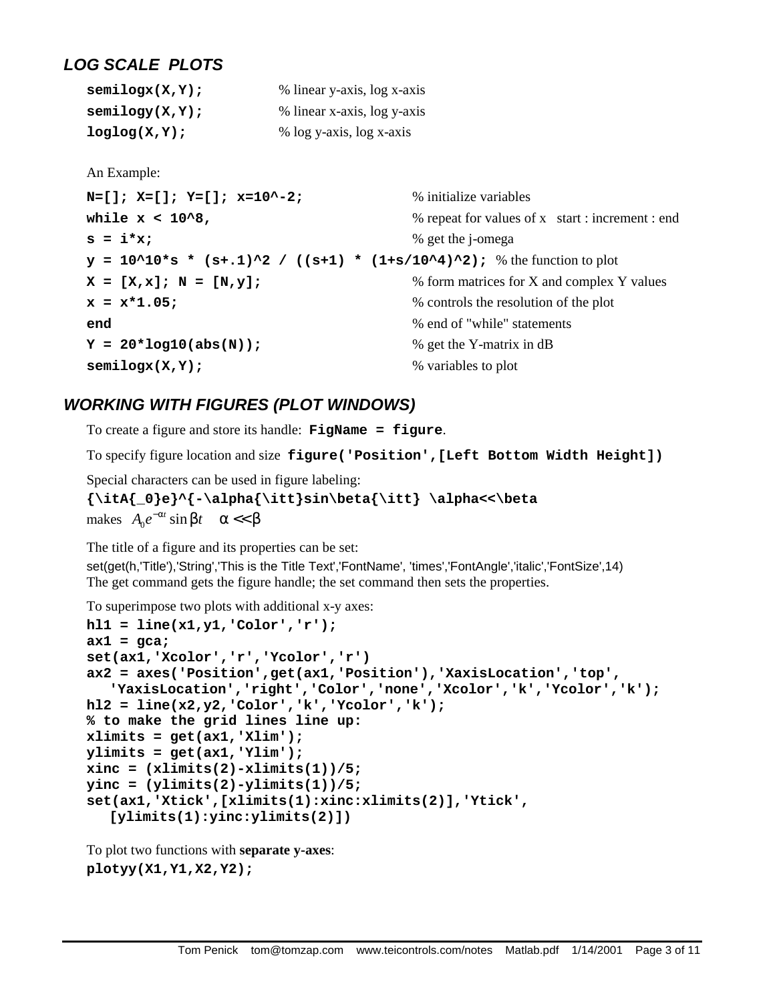## *LOG SCALE PLOTS*

| semilogx(X,Y);   | % linear y-axis, log x-axis |
|------------------|-----------------------------|
| semilogy(X,Y);   | % linear x-axis, log y-axis |
| $loglog(X, Y)$ ; | % log y-axis, log x-axis    |

An Example:

```
N=[ \exists \vdots X=[ \exists \vdots X=[ \exists \vdots X=[ \exists \vdots X=[ \exists \vdots X=[ \exists \vdots X=[ \exists \vdots X=[ \exists \vdots X=[ \exists \vdots X=[ \exists \vdots X=[ \exists \vdots X=[ \exists \vdots X=[ \exists \vdots X=[ \exists \vdwhile x < 10^8, \frac{10^8}{20} while \frac{10^8}{20} while \frac{10^8}{20} repeat for values of x start : increment : end
s = i * x; \% get the j-omega
y = 10^10*s * (s+.1)^2 / ((s+1) * (1+s/10^4)^2); % the function to plot
X = [X, x]; N = [N, y]; \% form matrices for X and complex Y values
x = x \cdot 1.05; \frac{1}{2} \frac{1}{2} \frac{1}{2} \frac{1}{2} \frac{1}{2} \frac{1}{2} \frac{1}{2} \frac{1}{2} \frac{1}{2} \frac{1}{2} \frac{1}{2} \frac{1}{2} \frac{1}{2} \frac{1}{2} \frac{1}{2} \frac{1}{2} \frac{1}{2} \frac{1}{2} \frac{1}{2} \frac{1}{2} \frac{1}{2end end s end s s end s s s s s s s s s s s s s s s s s s s s s s s s s s s s s s
Y = 20 * log10(abs(N)); % get the Y-matrix in dB
semilogx(X,Y); % variables to plot
```
## *WORKING WITH FIGURES (PLOT WINDOWS)*

To create a figure and store its handle: **FigName = figure**.

To specify figure location and size **figure('Position',[Left Bottom Width Height])**

Special characters can be used in figure labeling:

```
{\itA{_0}e}^{-\alpha{\itt}sin\beta{\itt} \alpha<<\beta 
makes A_0 e^{-\alpha t} \sin \beta t \quad \alpha < \beta
```
The title of a figure and its properties can be set:

set(get(h,'Title'),'String','This is the Title Text','FontName', 'times','FontAngle','italic','FontSize',14) The get command gets the figure handle; the set command then sets the properties.

To superimpose two plots with additional x-y axes:

```
hl1 = line(x1,y1,'Color','r');
ax1 = gca;
set(ax1,'Xcolor','r','Ycolor','r')
ax2 = axes('Position',get(ax1,'Position'),'XaxisLocation','top', 
   'YaxisLocation','right','Color','none','Xcolor','k','Ycolor','k');
hl2 = line(x2,y2,'Color','k','Ycolor','k');
% to make the grid lines line up:
xlimits = get(ax1,'Xlim');
ylimits = get(ax1,'Ylim');
xinc = (xlimits(2)-xlimits(1))/5;
yinc = (ylimits(2)-ylimits(1))/5;
set(ax1,'Xtick',[xlimits(1):xinc:xlimits(2)],'Ytick', 
  [ylimits(1):yinc:ylimits(2)])
```
To plot two functions with **separate y-axes**: **plotyy(X1,Y1,X2,Y2);**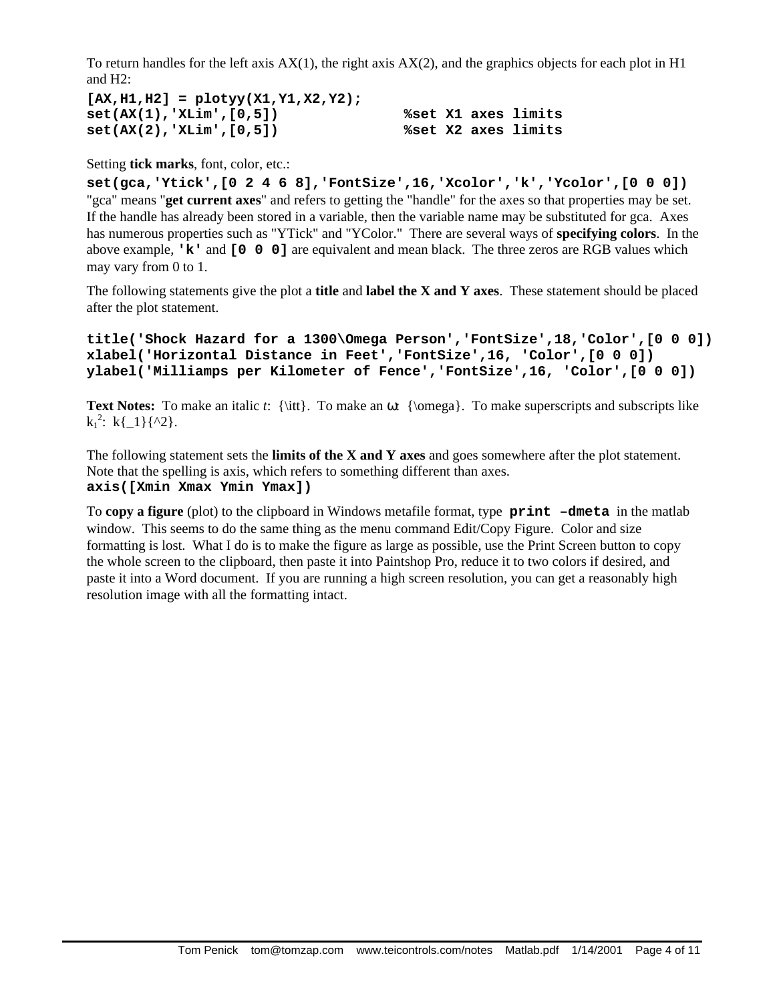To return handles for the left axis  $AX(1)$ , the right axis  $AX(2)$ , and the graphics objects for each plot in H1 and H2:

```
[AX,H1,H2] = plotyy(X1,Y1,X2,Y2);
set(AX(1),'XLim',[0,5]) %set X1 axes limits
set(AX(2),'XLim',[0,5]) %set X2 axes limits
```
#### Setting **tick marks**, font, color, etc.:

**set(gca,'Ytick',[0 2 4 6 8],'FontSize',16,'Xcolor','k','Ycolor',[0 0 0])** "gca" means "**get current axes**" and refers to getting the "handle" for the axes so that properties may be set. If the handle has already been stored in a variable, then the variable name may be substituted for gca. Axes has numerous properties such as "YTick" and "YColor." There are several ways of **specifying colors**. In the above example, **'k'** and **[0 0 0]** are equivalent and mean black. The three zeros are RGB values which may vary from 0 to 1.

The following statements give the plot a **title** and **label the X and Y axes**. These statement should be placed after the plot statement.

```
title('Shock Hazard for a 1300\Omega Person','FontSize',18,'Color',[0 0 0])
xlabel('Horizontal Distance in Feet','FontSize',16, 'Color',[0 0 0])
ylabel('Milliamps per Kilometer of Fence','FontSize',16, 'Color',[0 0 0])
```
**Text Notes:** To make an italic *t*:  ${\it\{ } \it\{ } \it\}$ . To make an  $\omega$ :  ${\omega}$ . To make superscripts and subscripts like  $k_1^2$ :  $k\{-1\}\{^2\}.$ 

The following statement sets the **limits of the X and Y axes** and goes somewhere after the plot statement. Note that the spelling is axis, which refers to something different than axes. **axis([Xmin Xmax Ymin Ymax])**

To **copy a figure** (plot) to the clipboard in Windows metafile format, type **print –dmeta** in the matlab window. This seems to do the same thing as the menu command Edit/Copy Figure. Color and size formatting is lost. What I do is to make the figure as large as possible, use the Print Screen button to copy the whole screen to the clipboard, then paste it into Paintshop Pro, reduce it to two colors if desired, and paste it into a Word document. If you are running a high screen resolution, you can get a reasonably high resolution image with all the formatting intact.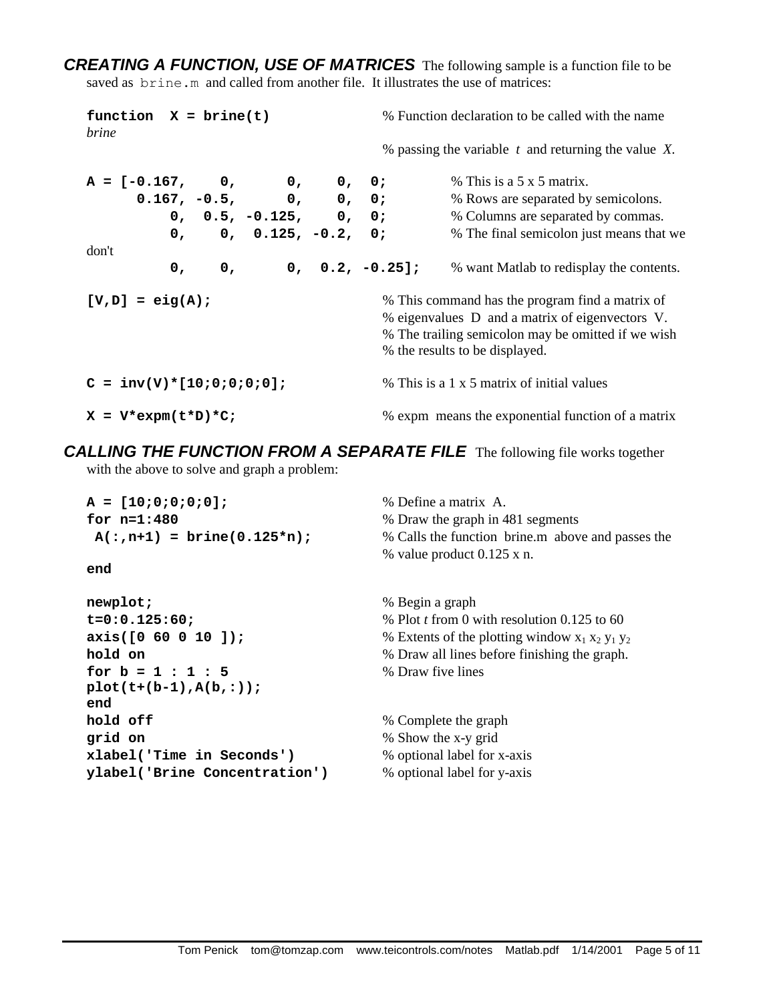*CREATING A FUNCTION, USE OF MATRICES* The following sample is a function file to be saved as brine.m and called from another file. It illustrates the use of matrices:

| function $X = brine(t)$<br><i>brine</i>                              |    |  |                         | % Function declaration to be called with the name |  |                                                          |
|----------------------------------------------------------------------|----|--|-------------------------|---------------------------------------------------|--|----------------------------------------------------------|
|                                                                      |    |  |                         |                                                   |  | % passing the variable $t$ and returning the value $X$ . |
| $A = [-0.167, 0, 0, 0, 0;$                                           |    |  |                         |                                                   |  | $%$ This is a 5 x 5 matrix.                              |
|                                                                      |    |  | $0.167, -0.5, 0, 0, 0;$ |                                                   |  | % Rows are separated by semicolons.                      |
|                                                                      |    |  | $0, 0.5, -0.125, 0, 0;$ |                                                   |  | % Columns are separated by commas.                       |
|                                                                      |    |  | $0, 0, 0.125, -0.2, 0;$ |                                                   |  | % The final semicolon just means that we                 |
| don't                                                                |    |  |                         |                                                   |  |                                                          |
|                                                                      | 0, |  | $0, 0, 0.2, -0.25$ ];   |                                                   |  | % want Matlab to redisplay the contents.                 |
| % This command has the program find a matrix of<br>$[V,D] = eig(A);$ |    |  |                         |                                                   |  |                                                          |
|                                                                      |    |  |                         |                                                   |  | % eigenvalues D and a matrix of eigenvectors V.          |
|                                                                      |    |  |                         |                                                   |  | % The trailing semicolon may be omitted if we wish       |
|                                                                      |    |  |                         |                                                   |  | % the results to be displayed.                           |
| $C = inv(V) * [10;0;0;0;0];$                                         |    |  |                         |                                                   |  | % This is a 1 x 5 matrix of initial values               |
| $X = V^*expm(t*D)*C;$                                                |    |  |                         |                                                   |  | % expm means the exponential function of a matrix        |

*CALLING THE FUNCTION FROM A SEPARATE FILE* The following file works together with the above to solve and graph a problem:

| $A = [10;0;0;0;0]$ ;<br>for $n=1:480$<br>$A(:,n+1) = brine(0.125*n);$<br>end | % Define a matrix A.<br>% Draw the graph in 481 segments<br>% Calls the function brine.m above and passes the<br>% value product $0.125$ x n. |
|------------------------------------------------------------------------------|-----------------------------------------------------------------------------------------------------------------------------------------------|
|                                                                              |                                                                                                                                               |
| newplot;                                                                     | % Begin a graph                                                                                                                               |
| $t = 0:0.125:60;$                                                            | % Plot t from 0 with resolution $0.125$ to 60                                                                                                 |
| axis([0 60 0 10 ]);                                                          | % Extents of the plotting window $x_1 x_2 y_1 y_2$                                                                                            |
| hold on                                                                      | % Draw all lines before finishing the graph.                                                                                                  |
| for $b = 1 : 1 : 5$                                                          | % Draw five lines                                                                                                                             |
| $plot(t+(b-1), A(b, :));$                                                    |                                                                                                                                               |
| end                                                                          |                                                                                                                                               |
| hold off                                                                     | % Complete the graph                                                                                                                          |
| grid on                                                                      | % Show the x-y grid                                                                                                                           |
| xlabel('Time in Seconds')                                                    | % optional label for x-axis                                                                                                                   |
| ylabel('Brine Concentration')                                                | % optional label for y-axis                                                                                                                   |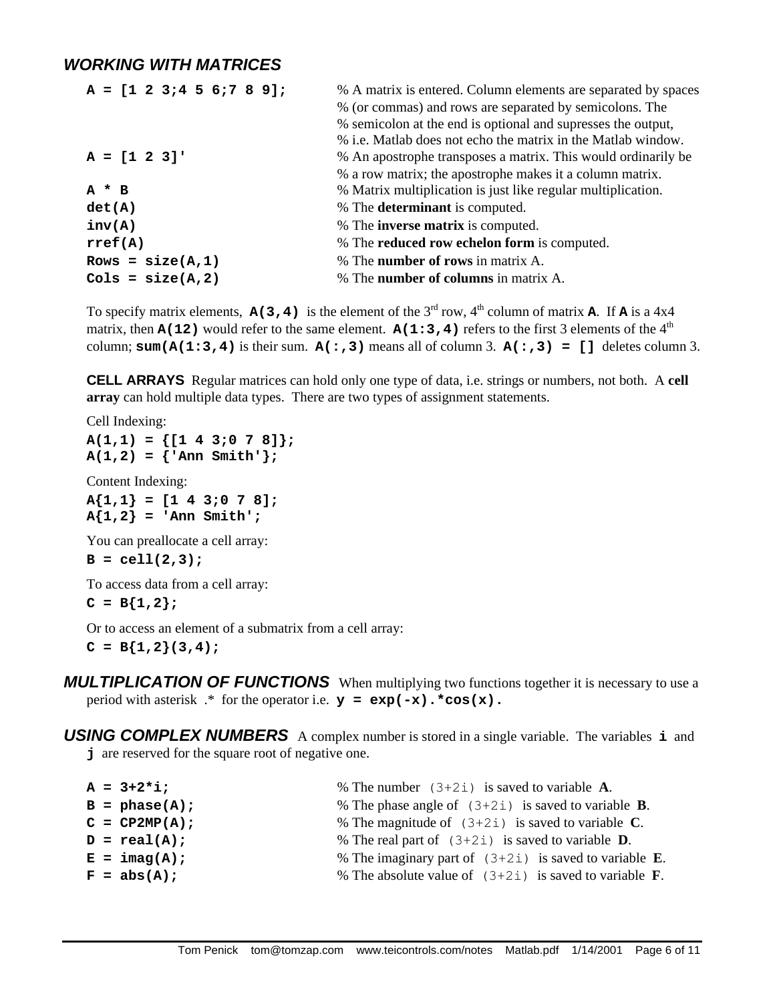#### *WORKING WITH MATRICES*

| $A = [1 2 3; 4 5 6; 7 8 9];$ | % A matrix is entered. Column elements are separated by spaces |
|------------------------------|----------------------------------------------------------------|
|                              | % (or commas) and rows are separated by semicolons. The        |
|                              | % semicolon at the end is optional and supresses the output,   |
|                              | % i.e. Matlab does not echo the matrix in the Matlab window.   |
| $A = [1 \ 2 \ 3]'$           | % An apostrophe transposes a matrix. This would ordinarily be  |
|                              | % a row matrix; the apostrophe makes it a column matrix.       |
| $A * B$                      | % Matrix multiplication is just like regular multiplication.   |
| det(A)                       | % The <b>determinant</b> is computed.                          |
| inv(A)                       | % The <b>inverse matrix</b> is computed.                       |
| rref(A)                      | % The <b>reduced row echelon form</b> is computed.             |
| Rows = $size(A,1)$           | % The <b>number of rows</b> in matrix A.                       |
| $Cols = size(A, 2)$          | % The <b>number of columns</b> in matrix A.                    |

To specify matrix elements,  $A(3, 4)$  is the element of the 3<sup>rd</sup> row, 4<sup>th</sup> column of matrix **A**. If **A** is a 4x4 matrix, then  $A(12)$  would refer to the same element.  $A(1:3,4)$  refers to the first 3 elements of the  $4<sup>th</sup>$ column;  $\text{sum}(\mathbf{A}(1:3,4))$  is their sum.  $\mathbf{A}(:,3))$  means all of column 3.  $\mathbf{A}(:,3) = [$ ] deletes column 3.

**CELL ARRAYS** Regular matrices can hold only one type of data, i.e. strings or numbers, not both. A **cell array** can hold multiple data types. There are two types of assignment statements.

Cell Indexing: **A(1,1) = {[1 4 3;0 7 8]};**  $A(1,2) = {$ **'Ann Smith'**};

Content Indexing:

**A{1,1} = [1 4 3;0 7 8];**  $A\{1,2\}$  = 'Ann Smith';

You can preallocate a cell array:

```
B = cell(2,3);
```
To access data from a cell array:

```
C = B\{1,2\};
```
Or to access an element of a submatrix from a cell array:

 $C = B{1,2}(3,4);$ 

**MULTIPLICATION OF FUNCTIONS** When multiplying two functions together it is necessary to use a period with asterisk .\* for the operator i.e. **y = exp(-x).\*cos(x).**

*USING COMPLEX NUMBERS* A complex number is stored in a single variable. The variables **i** and **j** are reserved for the square root of negative one.

|  | % The number $(3+2i)$ is saved to variable A.                                                                       |
|--|---------------------------------------------------------------------------------------------------------------------|
|  | % The phase angle of $(3+2i)$ is saved to variable <b>B</b> .                                                       |
|  | % The magnitude of $(3+2i)$ is saved to variable C.                                                                 |
|  | % The real part of $(3+2i)$ is saved to variable <b>D</b> .                                                         |
|  | % The imaginary part of $(3+2i)$ is saved to variable <b>E</b> .                                                    |
|  | % The absolute value of $(3+2i)$ is saved to variable <b>F</b> .                                                    |
|  | $A = 3 + 2 * i;$<br>$B = phase(A);$<br>$C = CP2MP(A);$<br>$D = real(A);$<br>$E = \text{imag}(A)$ ;<br>$F = abs(A);$ |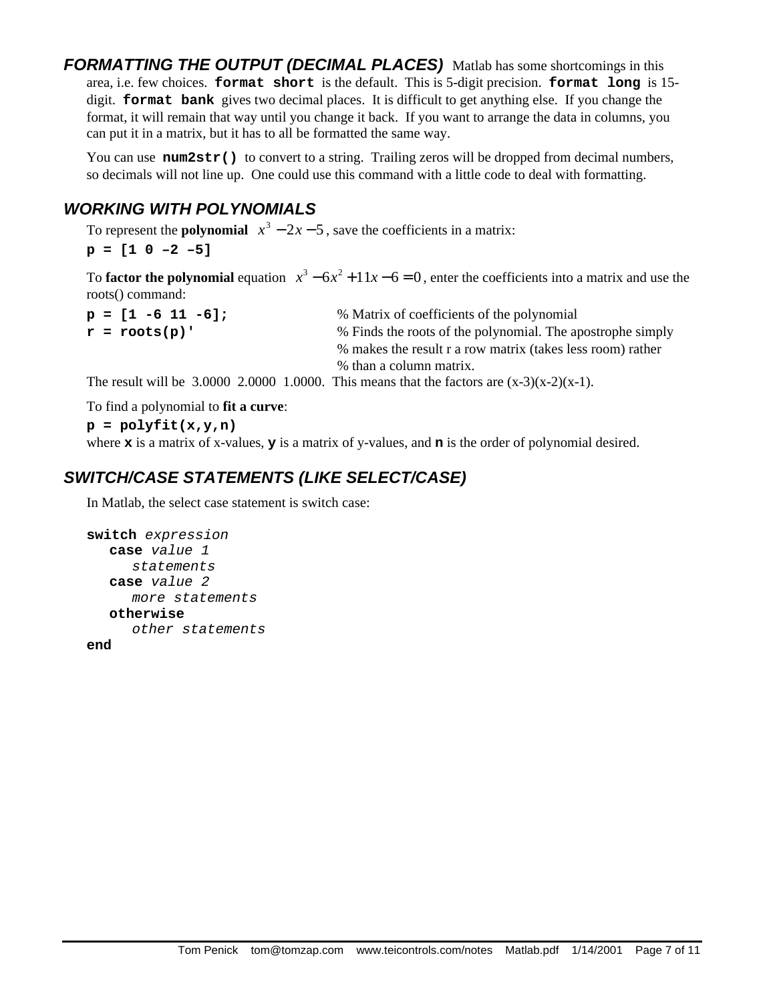*FORMATTING THE OUTPUT (DECIMAL PLACES)* Matlab has some shortcomings in this area, i.e. few choices. **format short** is the default. This is 5-digit precision. **format long** is 15 digit. **format bank** gives two decimal places. It is difficult to get anything else. If you change the format, it will remain that way until you change it back. If you want to arrange the data in columns, you can put it in a matrix, but it has to all be formatted the same way.

You can use num2str() to convert to a string. Trailing zeros will be dropped from decimal numbers, so decimals will not line up. One could use this command with a little code to deal with formatting.

### *WORKING WITH POLYNOMIALS*

To represent the **polynomial**  $x^3 - 2x - 5$ , save the coefficients in a matrix:

**p = [1 0 –2 –5]**

To **factor the polynomial** equation  $x^3 - 6x^2 + 11x - 6 = 0$ , enter the coefficients into a matrix and use the roots() command:

| $p = [1 -6 11 -6];$ | % Matrix of coefficients of the polynomial                 |
|---------------------|------------------------------------------------------------|
| $r = roots(p)$ '    | % Finds the roots of the polynomial. The apostrophe simply |
|                     | % makes the result r a row matrix (takes less room) rather |
|                     | % than a column matrix.                                    |

The result will be 3.0000 2.0000 1.0000. This means that the factors are  $(x-3)(x-2)(x-1)$ .

To find a polynomial to **fit a curve**:

**p = polyfit(x,y,n)**

where **x** is a matrix of x-values, **y** is a matrix of y-values, and **n** is the order of polynomial desired.

## *SWITCH/CASE STATEMENTS (LIKE SELECT/CASE)*

In Matlab, the select case statement is switch case:

```
switch expression
  case value 1
     statements
  case value 2
     more statements
  otherwise
     other statements
```
**end**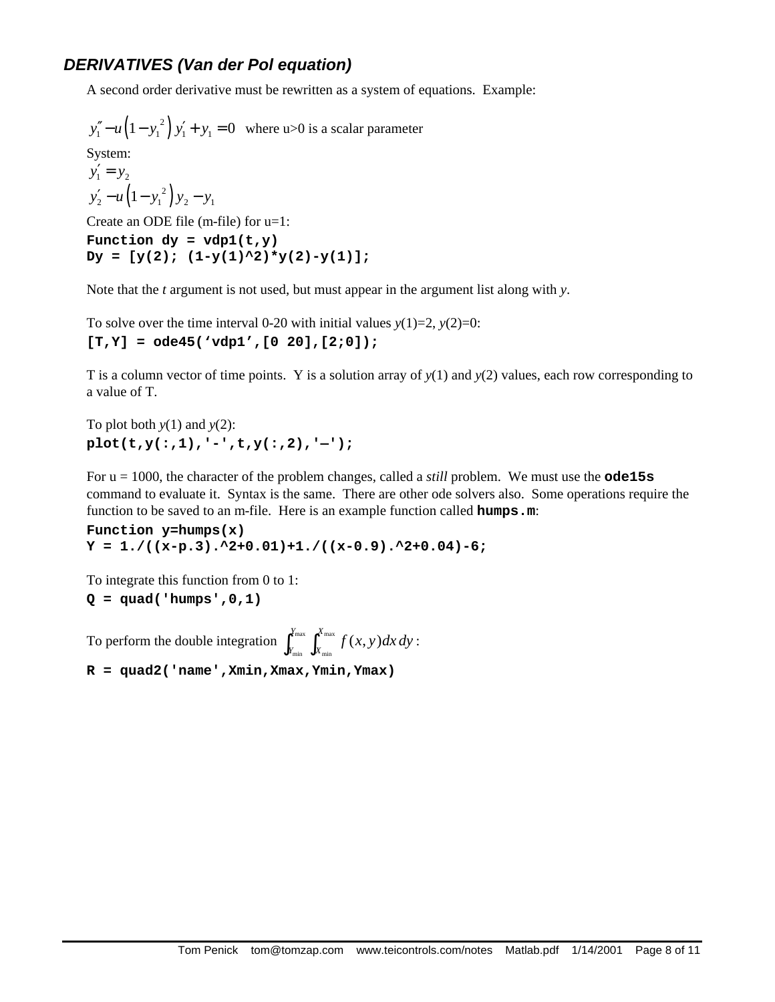#### *DERIVATIVES (Van der Pol equation)*

A second order derivative must be rewritten as a system of equations. Example:

 $y_1'' - u(1 - y_1^2) y_1' + y_1 = 0$  where u>0 is a scalar parameter System:  $y'_1 = y_2$  $y'_2 - u(1 - y_1^2)y_2 - y_1$ Create an ODE file (m-file) for u=1: Function  $dy = vdp1(t, y)$  $Dy = [y(2); (1-y(1)^2) * y(2) - y(1)]$ ;

Note that the *t* argument is not used, but must appear in the argument list along with *y*.

To solve over the time interval 0-20 with initial values  $y(1)=2$ ,  $y(2)=0$ : **[T,Y] = ode45('vdp1',[0 20],[2;0]);**

T is a column vector of time points. Y is a solution array of *y*(1) and *y*(2) values, each row corresponding to a value of T.

To plot both *y*(1) and *y*(2): **plot(t,y(:,1),'-',t,y(:,2),'—');**

For u = 1000, the character of the problem changes, called a *still* problem. We must use the **ode15s** command to evaluate it. Syntax is the same. There are other ode solvers also. Some operations require the function to be saved to an m-file. Here is an example function called **humps.m**:

**Function y=humps(x)**  $Y = 1. / ((x-p.3).^2+0.01)+1. / ((x-0.9).^2+0.04)-6;$ 

To integrate this function from 0 to 1:

**Q = quad('humps',0,1)**

To perform the double integration  $\int_{Y_{\text{min}}}^{Y_{\text{max}}} \int_{X_{\text{min}}}^{X_{\text{max}}} f(x, y) dx$  $\int_{Y_{\text{min}}}^{Y_{\text{max}}} \int_{X_{\text{min}}}^{X_{\text{max}}} f(x, y) dx dy$ :

**R = quad2('name',Xmin,Xmax,Ymin,Ymax)**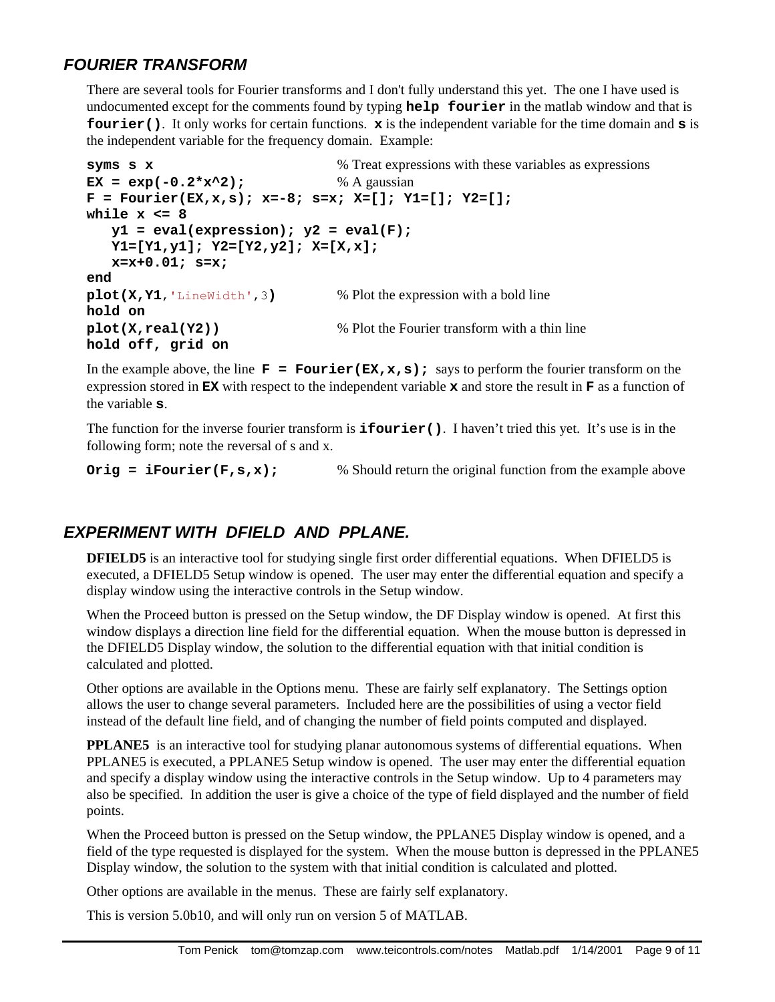#### *FOURIER TRANSFORM*

There are several tools for Fourier transforms and I don't fully understand this yet. The one I have used is undocumented except for the comments found by typing **help fourier** in the matlab window and that is **fourier()**. It only works for certain functions. **x** is the independent variable for the time domain and **s** is the independent variable for the frequency domain. Example:

```
syms s x \% Treat expressions with these variables as expressions
EX = exp(-0.2*x^2); % A gaussian
F = Fourier(EX,x,s); x=-8; s=x; X=[]; Y1=[]; Y2=[];
while x <= 8
  y1 = eval(expression); y2 = eval(F); Y1=[Y1,y1]; Y2=[Y2,y2]; X=[X,x];
    x=x+0.01; s=x;
end
plot(X,Y1,'LineWidth',3) % Plot the expression with a bold line
hold on
plot(X, real(Y2)) % Plot the Fourier transform with a thin line
hold off, grid on
```
In the example above, the line  $\mathbf{F} = \text{Fourier}(\mathbf{EX}, \mathbf{x}, \mathbf{s})$ ; says to perform the fourier transform on the expression stored in **EX** with respect to the independent variable **x** and store the result in **F** as a function of the variable **s**.

The function for the inverse fourier transform is **ifourier()**. I haven't tried this yet. It's use is in the following form; note the reversal of s and x.

```
Orig = iFourier(F, s, x): % Should return the original function from the example above
```
#### *EXPERIMENT WITH DFIELD AND PPLANE.*

**DFIELD5** is an interactive tool for studying single first order differential equations. When DFIELD5 is executed, a DFIELD5 Setup window is opened. The user may enter the differential equation and specify a display window using the interactive controls in the Setup window.

When the Proceed button is pressed on the Setup window, the DF Display window is opened. At first this window displays a direction line field for the differential equation. When the mouse button is depressed in the DFIELD5 Display window, the solution to the differential equation with that initial condition is calculated and plotted.

Other options are available in the Options menu. These are fairly self explanatory. The Settings option allows the user to change several parameters. Included here are the possibilities of using a vector field instead of the default line field, and of changing the number of field points computed and displayed.

**PPLANE5** is an interactive tool for studying planar autonomous systems of differential equations. When PPLANE5 is executed, a PPLANE5 Setup window is opened. The user may enter the differential equation and specify a display window using the interactive controls in the Setup window. Up to 4 parameters may also be specified. In addition the user is give a choice of the type of field displayed and the number of field points.

When the Proceed button is pressed on the Setup window, the PPLANE5 Display window is opened, and a field of the type requested is displayed for the system. When the mouse button is depressed in the PPLANE5 Display window, the solution to the system with that initial condition is calculated and plotted.

Other options are available in the menus. These are fairly self explanatory.

This is version 5.0b10, and will only run on version 5 of MATLAB.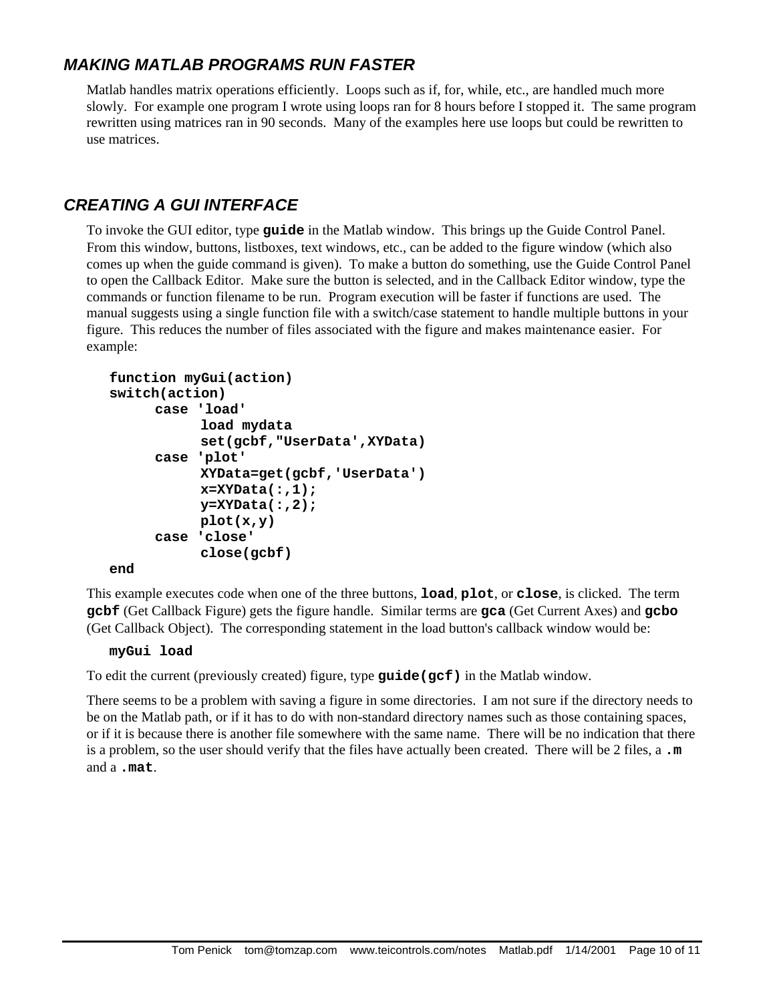## *MAKING MATLAB PROGRAMS RUN FASTER*

Matlab handles matrix operations efficiently. Loops such as if, for, while, etc., are handled much more slowly. For example one program I wrote using loops ran for 8 hours before I stopped it. The same program rewritten using matrices ran in 90 seconds. Many of the examples here use loops but could be rewritten to use matrices.

## *CREATING A GUI INTERFACE*

To invoke the GUI editor, type **guide** in the Matlab window. This brings up the Guide Control Panel. From this window, buttons, listboxes, text windows, etc., can be added to the figure window (which also comes up when the guide command is given). To make a button do something, use the Guide Control Panel to open the Callback Editor. Make sure the button is selected, and in the Callback Editor window, type the commands or function filename to be run. Program execution will be faster if functions are used. The manual suggests using a single function file with a switch/case statement to handle multiple buttons in your figure. This reduces the number of files associated with the figure and makes maintenance easier. For example:

```
function myGui(action)
switch(action)
     case 'load'
           load mydata
           set(gcbf,"UserData',XYData)
     case 'plot'
           XYData=get(gcbf,'UserData')
           x=XYData(:,1);
           y=XYData(:,2);
           plot(x,y)
     case 'close'
           close(gcbf)
end
```
This example executes code when one of the three buttons, **load**, **plot**, or **close**, is clicked. The term **gcbf** (Get Callback Figure) gets the figure handle. Similar terms are **gca** (Get Current Axes) and **gcbo** (Get Callback Object). The corresponding statement in the load button's callback window would be:

#### **myGui load**

To edit the current (previously created) figure, type **guide(gcf)** in the Matlab window.

There seems to be a problem with saving a figure in some directories. I am not sure if the directory needs to be on the Matlab path, or if it has to do with non-standard directory names such as those containing spaces, or if it is because there is another file somewhere with the same name. There will be no indication that there is a problem, so the user should verify that the files have actually been created. There will be 2 files, a **.m** and a **.mat**.